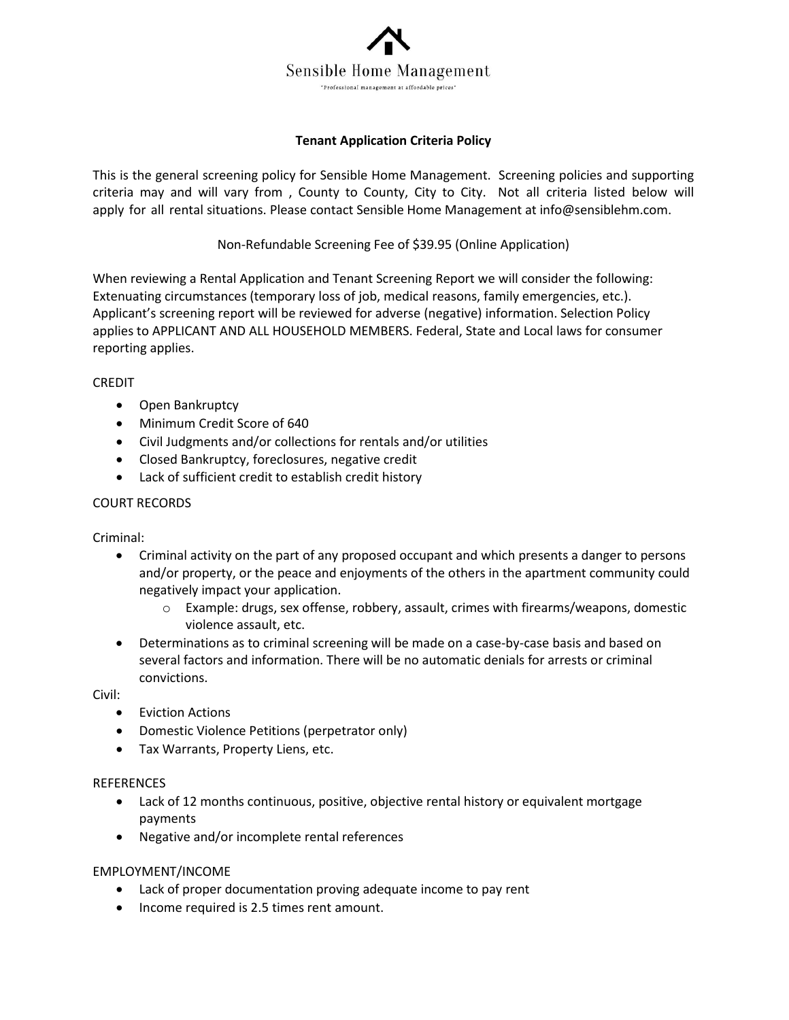

# **Tenant Application Criteria Policy**

This is the general screening policy for Sensible Home Management. Screening policies and supporting criteria may and will vary from , County to County, City to City. Not all criteria listed below will apply for all rental situations. Please contact Sensible Home Management at info@sensiblehm.com.

Non-Refundable Screening Fee of \$39.95 (Online Application)

When reviewing a Rental Application and Tenant Screening Report we will consider the following: Extenuating circumstances (temporary loss of job, medical reasons, family emergencies, etc.). Applicant's screening report will be reviewed for adverse (negative) information. Selection Policy applies to APPLICANT AND ALL HOUSEHOLD MEMBERS. Federal, State and Local laws for consumer reporting applies.

## CREDIT

- Open Bankruptcy
- Minimum Credit Score of 640
- Civil Judgments and/or collections for rentals and/or utilities
- Closed Bankruptcy, foreclosures, negative credit
- Lack of sufficient credit to establish credit history

### COURT RECORDS

Criminal:

- Criminal activity on the part of any proposed occupant and which presents a danger to persons and/or property, or the peace and enjoyments of the others in the apartment community could negatively impact your application.
	- o Example: drugs, sex offense, robbery, assault, crimes with firearms/weapons, domestic violence assault, etc.
- Determinations as to criminal screening will be made on a case-by-case basis and based on several factors and information. There will be no automatic denials for arrests or criminal convictions.

Civil:

- Eviction Actions
- Domestic Violence Petitions (perpetrator only)
- Tax Warrants, Property Liens, etc.

#### **REFERENCES**

- Lack of 12 months continuous, positive, objective rental history or equivalent mortgage payments
- Negative and/or incomplete rental references

## EMPLOYMENT/INCOME

- Lack of proper documentation proving adequate income to pay rent
- Income required is 2.5 times rent amount.